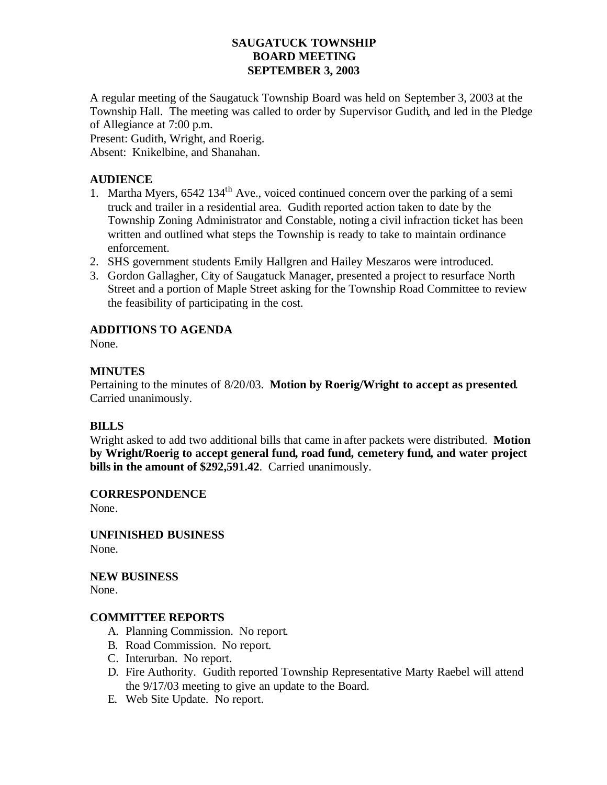### **SAUGATUCK TOWNSHIP BOARD MEETING SEPTEMBER 3, 2003**

A regular meeting of the Saugatuck Township Board was held on September 3, 2003 at the Township Hall. The meeting was called to order by Supervisor Gudith, and led in the Pledge of Allegiance at 7:00 p.m.

Present: Gudith, Wright, and Roerig.

Absent: Knikelbine, and Shanahan.

## **AUDIENCE**

- 1. Martha Myers,  $6542 134<sup>th</sup>$  Ave., voiced continued concern over the parking of a semi truck and trailer in a residential area. Gudith reported action taken to date by the Township Zoning Administrator and Constable, noting a civil infraction ticket has been written and outlined what steps the Township is ready to take to maintain ordinance enforcement.
- 2. SHS government students Emily Hallgren and Hailey Meszaros were introduced.
- 3. Gordon Gallagher, City of Saugatuck Manager, presented a project to resurface North Street and a portion of Maple Street asking for the Township Road Committee to review the feasibility of participating in the cost.

# **ADDITIONS TO AGENDA**

None.

### **MINUTES**

Pertaining to the minutes of 8/20/03. **Motion by Roerig/Wright to accept as presented**. Carried unanimously.

### **BILLS**

Wright asked to add two additional bills that came in after packets were distributed. **Motion by Wright/Roerig to accept general fund, road fund, cemetery fund, and water project bills in the amount of \$292,591.42**. Carried unanimously.

**CORRESPONDENCE**

None.

**UNFINISHED BUSINESS** None.

**NEW BUSINESS** None.

### **COMMITTEE REPORTS**

- A. Planning Commission. No report.
- B. Road Commission. No report.
- C. Interurban. No report.
- D. Fire Authority. Gudith reported Township Representative Marty Raebel will attend the 9/17/03 meeting to give an update to the Board.
- E. Web Site Update. No report.